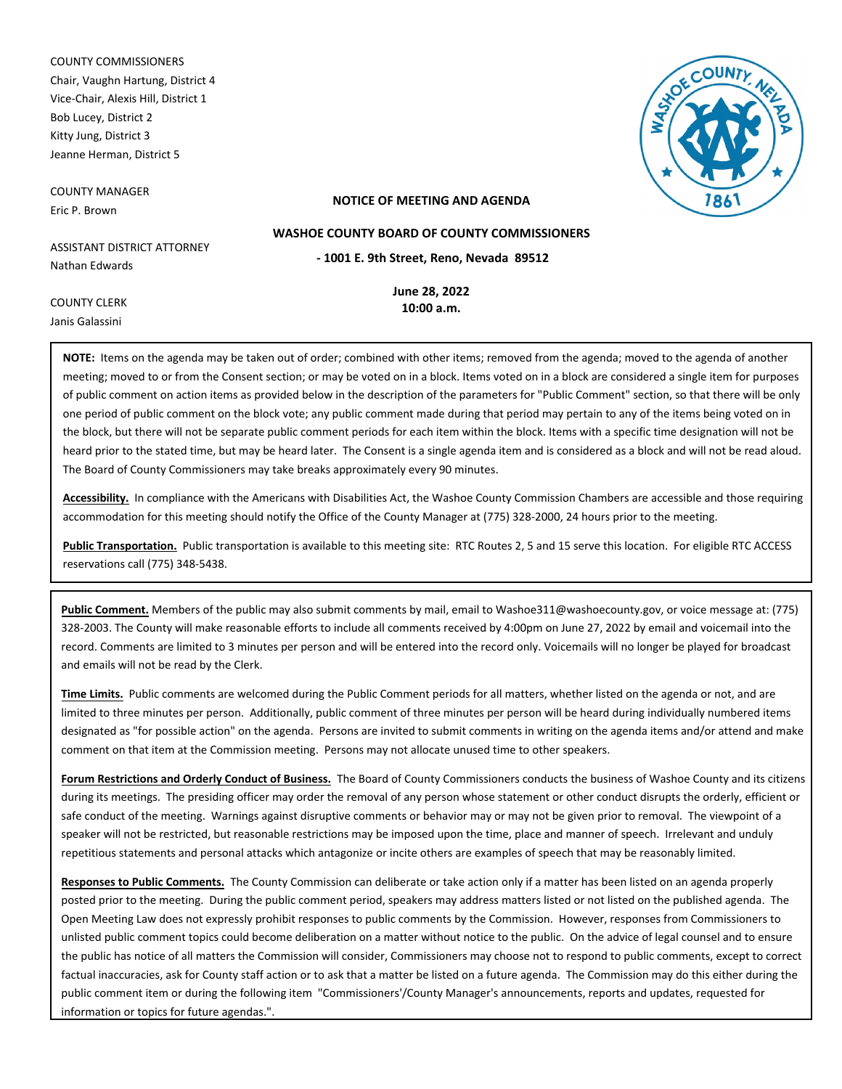COUNTY COMMISSIONERS Chair, Vaughn Hartung, District 4 Vice-Chair, Alexis Hill, District 1 Bob Lucey, District 2 Kitty Jung, District 3 Jeanne Herman, District 5

COUNTY MANAGER Eric P. Brown

COUNTY CLERK Janis Galassini



## **NOTICE OF MEETING AND AGENDA**

**WASHOE COUNTY BOARD OF COUNTY COMMISSIONERS**

ASSISTANT DISTRICT ATTORNEY Nathan Edwards

**- 1001 E. 9th Street, Reno, Nevada 89512**

**June 28, 2022 10:00 a.m.**

**NOTE:** Items on the agenda may be taken out of order; combined with other items; removed from the agenda; moved to the agenda of another meeting; moved to or from the Consent section; or may be voted on in a block. Items voted on in a block are considered a single item for purposes of public comment on action items as provided below in the description of the parameters for "Public Comment" section, so that there will be only one period of public comment on the block vote; any public comment made during that period may pertain to any of the items being voted on in the block, but there will not be separate public comment periods for each item within the block. Items with a specific time designation will not be heard prior to the stated time, but may be heard later. The Consent is a single agenda item and is considered as a block and will not be read aloud. The Board of County Commissioners may take breaks approximately every 90 minutes.

**Accessibility.** In compliance with the Americans with Disabilities Act, the Washoe County Commission Chambers are accessible and those requiring accommodation for this meeting should notify the Office of the County Manager at (775) 328-2000, 24 hours prior to the meeting.

**Public Transportation.** Public transportation is available to this meeting site: RTC Routes 2, 5 and 15 serve this location. For eligible RTC ACCESS reservations call (775) 348-5438.

**Public Comment.** Members of the public may also submit comments by mail, email to Washoe311@washoecounty.gov, or voice message at: (775) 328-2003. The County will make reasonable efforts to include all comments received by 4:00pm on June 27, 2022 by email and voicemail into the record. Comments are limited to 3 minutes per person and will be entered into the record only. Voicemails will no longer be played for broadcast and emails will not be read by the Clerk.

**Time Limits.** Public comments are welcomed during the Public Comment periods for all matters, whether listed on the agenda or not, and are limited to three minutes per person. Additionally, public comment of three minutes per person will be heard during individually numbered items designated as "for possible action" on the agenda. Persons are invited to submit comments in writing on the agenda items and/or attend and make comment on that item at the Commission meeting. Persons may not allocate unused time to other speakers.

**Forum Restrictions and Orderly Conduct of Business.** The Board of County Commissioners conducts the business of Washoe County and its citizens during its meetings. The presiding officer may order the removal of any person whose statement or other conduct disrupts the orderly, efficient or safe conduct of the meeting. Warnings against disruptive comments or behavior may or may not be given prior to removal. The viewpoint of a speaker will not be restricted, but reasonable restrictions may be imposed upon the time, place and manner of speech. Irrelevant and unduly repetitious statements and personal attacks which antagonize or incite others are examples of speech that may be reasonably limited.

**Responses to Public Comments.** The County Commission can deliberate or take action only if a matter has been listed on an agenda properly posted prior to the meeting. During the public comment period, speakers may address matters listed or not listed on the published agenda. The Open Meeting Law does not expressly prohibit responses to public comments by the Commission. However, responses from Commissioners to unlisted public comment topics could become deliberation on a matter without notice to the public. On the advice of legal counsel and to ensure the public has notice of all matters the Commission will consider, Commissioners may choose not to respond to public comments, except to correct factual inaccuracies, ask for County staff action or to ask that a matter be listed on a future agenda. The Commission may do this either during the public comment item or during the following item "Commissioners'/County Manager's announcements, reports and updates, requested for information or topics for future agendas.".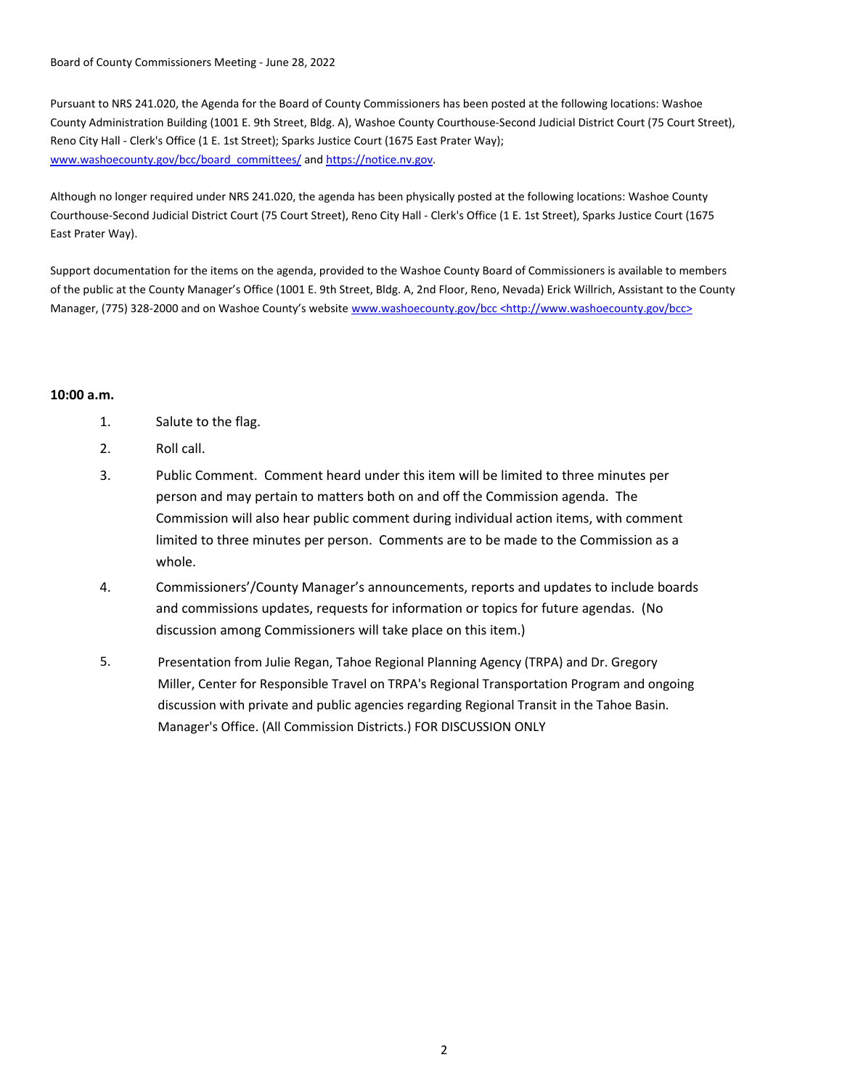Board of County Commissioners Meeting - June 28, 2022

Pursuant to NRS 241.020, the Agenda for the Board of County Commissioners has been posted at the following locations: Washoe County Administration Building (1001 E. 9th Street, Bldg. A), Washoe County Courthouse-Second Judicial District Court (75 Court Street), Reno City Hall - Clerk's Office (1 E. 1st Street); Sparks Justice Court (1675 East Prater Way); www.washoecounty.gov/bcc/board\_committees/ and https://notice.nv.gov.

Although no longer required under NRS 241.020, the agenda has been physically posted at the following locations: Washoe County Courthouse-Second Judicial District Court (75 Court Street), Reno City Hall - Clerk's Office (1 E. 1st Street), Sparks Justice Court (1675 East Prater Way).

Support documentation for the items on the agenda, provided to the Washoe County Board of Commissioners is available to members of the public at the County Manager's Office (1001 E. 9th Street, Bldg. A, 2nd Floor, Reno, Nevada) Erick Willrich, Assistant to the County Manager, (775) 328-2000 and on Washoe County's website www.washoecounty.gov/bcc <http://www.washoecounty.gov/bcc>

## **10:00 a.m.**

- 1. Salute to the flag.
- 2. Roll call.
- 3. Public Comment. Comment heard under this item will be limited to three minutes per person and may pertain to matters both on and off the Commission agenda. The Commission will also hear public comment during individual action items, with comment limited to three minutes per person. Comments are to be made to the Commission as a whole.
- 4. Commissioners'/County Manager's announcements, reports and updates to include boards and commissions updates, requests for information or topics for future agendas. (No discussion among Commissioners will take place on this item.)
- Presentation from Julie Regan, Tahoe Regional Planning Agency (TRPA) and Dr. Gregory Miller, Center for Responsible Travel on TRPA's Regional Transportation Program and ongoing discussion with private and public agencies regarding Regional Transit in the Tahoe Basin. Manager's Office. (All Commission Districts.) FOR DISCUSSION ONLY 5.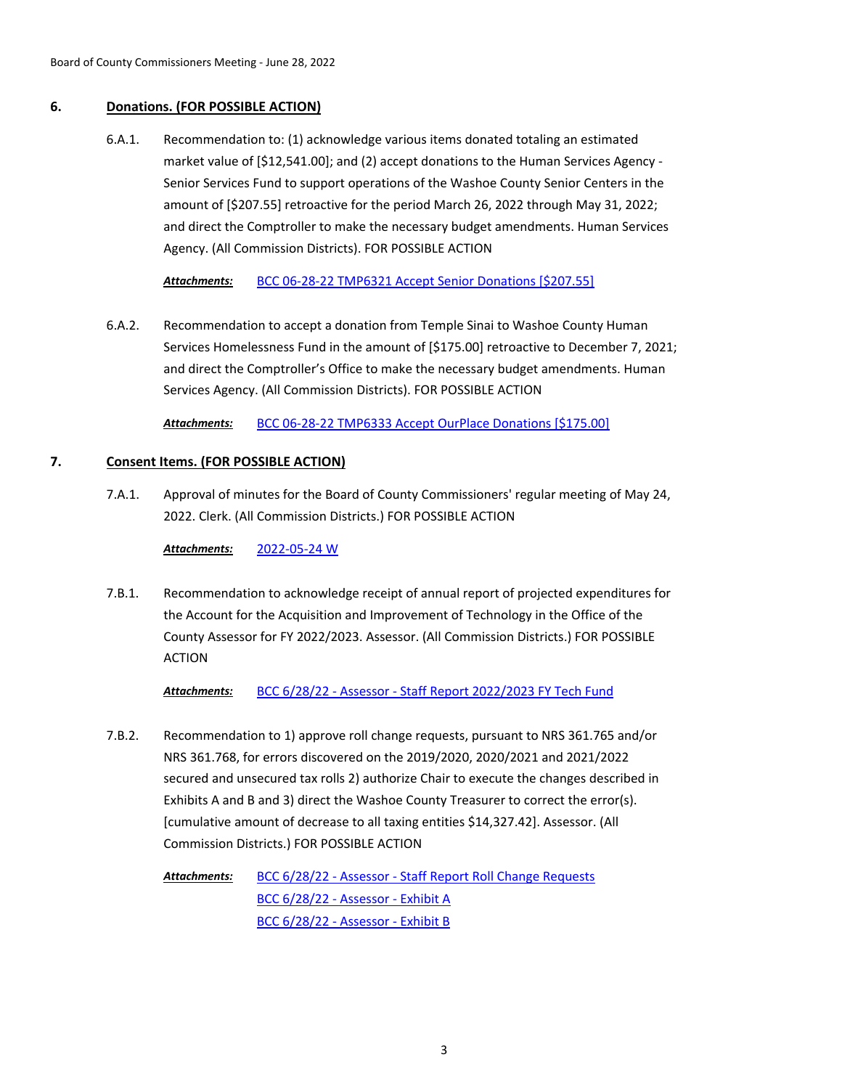# **6. Donations. (FOR POSSIBLE ACTION)**

Recommendation to: (1) acknowledge various items donated totaling an estimated market value of [\$12,541.00]; and (2) accept donations to the Human Services Agency - Senior Services Fund to support operations of the Washoe County Senior Centers in the amount of [\$207.55] retroactive for the period March 26, 2022 through May 31, 2022; and direct the Comptroller to make the necessary budget amendments. Human Services Agency. (All Commission Districts). FOR POSSIBLE ACTION 6.A.1.

*Attachments:* [BCC 06-28-22 TMP6321 Accept Senior Donations \[\\$207.55\]](http://washoe-nv.legistar.com/gateway.aspx?M=F&ID=977f7f3d-fb84-4e18-80be-d0a5244872c3.docx)

Recommendation to accept a donation from Temple Sinai to Washoe County Human Services Homelessness Fund in the amount of [\$175.00] retroactive to December 7, 2021; and direct the Comptroller's Office to make the necessary budget amendments. Human Services Agency. (All Commission Districts). FOR POSSIBLE ACTION 6.A.2.

*Attachments:* [BCC 06-28-22 TMP6333 Accept OurPlace Donations \[\\$175.00\]](http://washoe-nv.legistar.com/gateway.aspx?M=F&ID=e00a3e42-96ba-4ad7-8ad5-0fb33a47fd01.docx)

# **7. Consent Items. (FOR POSSIBLE ACTION)**

Approval of minutes for the Board of County Commissioners' regular meeting of May 24, 2022. Clerk. (All Commission Districts.) FOR POSSIBLE ACTION 7.A.1.

*Attachments:* [2022-05-24 W](http://washoe-nv.legistar.com/gateway.aspx?M=F&ID=884b7a29-9633-4bdc-8c95-7b449a57dac2.pdf)

Recommendation to acknowledge receipt of annual report of projected expenditures for the Account for the Acquisition and Improvement of Technology in the Office of the County Assessor for FY 2022/2023. Assessor. (All Commission Districts.) FOR POSSIBLE ACTION 7.B.1.

*Attachments:* [BCC 6/28/22 - Assessor - Staff Report 2022/2023 FY Tech Fund](http://washoe-nv.legistar.com/gateway.aspx?M=F&ID=6565eb1e-f29c-4cc8-8aca-f04b085bde87.docx)

Recommendation to 1) approve roll change requests, pursuant to NRS 361.765 and/or NRS 361.768, for errors discovered on the 2019/2020, 2020/2021 and 2021/2022 secured and unsecured tax rolls 2) authorize Chair to execute the changes described in Exhibits A and B and 3) direct the Washoe County Treasurer to correct the error(s). [cumulative amount of decrease to all taxing entities \$14,327.42]. Assessor. (All Commission Districts.) FOR POSSIBLE ACTION 7.B.2.

> [BCC 6/28/22 - Assessor - Staff Report Roll Change Requests](http://washoe-nv.legistar.com/gateway.aspx?M=F&ID=9c35dd21-266e-4e5d-b601-785924570693.docx) [BCC 6/28/22 - Assessor - Exhibit A](http://washoe-nv.legistar.com/gateway.aspx?M=F&ID=f4ff3450-89fb-4411-8481-415fcc8dc2f0.pdf) [BCC 6/28/22 - Assessor - Exhibit B](http://washoe-nv.legistar.com/gateway.aspx?M=F&ID=df3dd871-c56a-47c8-a8fc-293748eca01a.pdf) *Attachments:*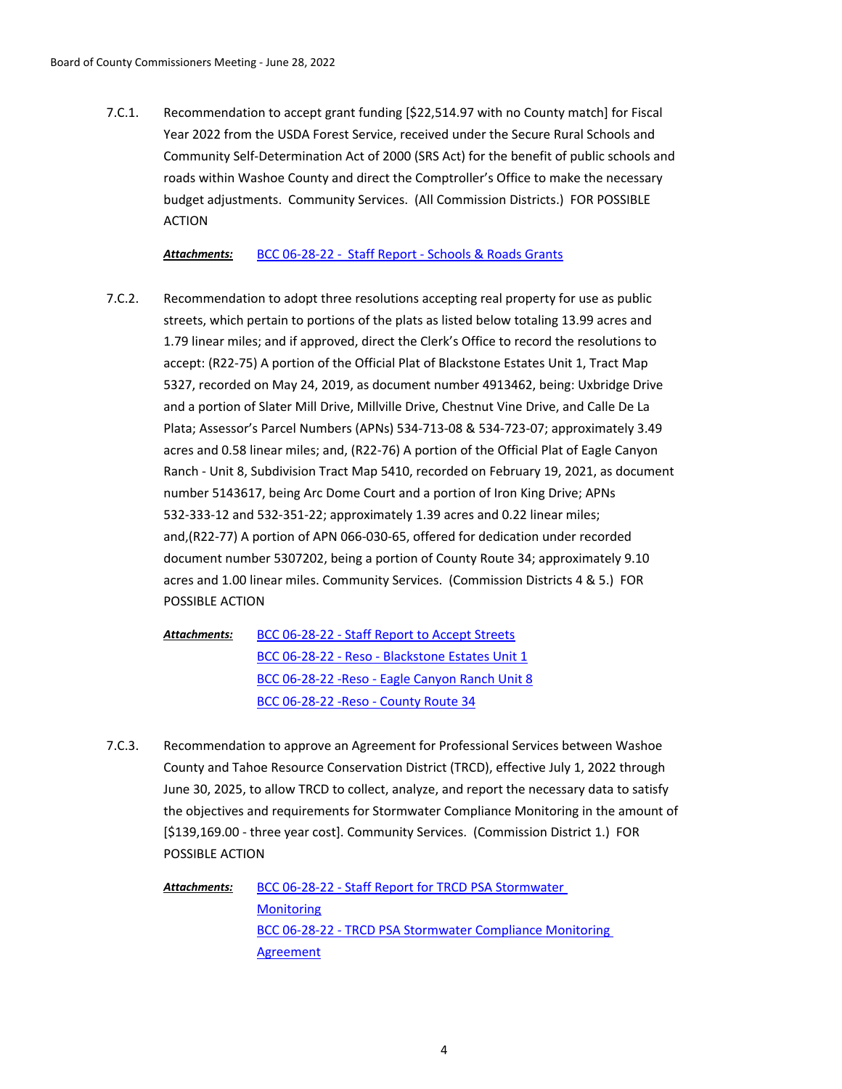Recommendation to accept grant funding [\$22,514.97 with no County match] for Fiscal Year 2022 from the USDA Forest Service, received under the Secure Rural Schools and Community Self-Determination Act of 2000 (SRS Act) for the benefit of public schools and roads within Washoe County and direct the Comptroller's Office to make the necessary budget adjustments. Community Services. (All Commission Districts.) FOR POSSIBLE ACTION 7.C.1.

*Attachments:* [BCC 06-28-22 - Staff Report - Schools & Roads Grants](http://washoe-nv.legistar.com/gateway.aspx?M=F&ID=516f5ca9-69f9-45f6-ae2b-d4c98e4b1575.doc)

- Recommendation to adopt three resolutions accepting real property for use as public streets, which pertain to portions of the plats as listed below totaling 13.99 acres and 1.79 linear miles; and if approved, direct the Clerk's Office to record the resolutions to accept: (R22-75) A portion of the Official Plat of Blackstone Estates Unit 1, Tract Map 5327, recorded on May 24, 2019, as document number 4913462, being: Uxbridge Drive and a portion of Slater Mill Drive, Millville Drive, Chestnut Vine Drive, and Calle De La Plata; Assessor's Parcel Numbers (APNs) 534-713-08 & 534-723-07; approximately 3.49 acres and 0.58 linear miles; and, (R22-76) A portion of the Official Plat of Eagle Canyon Ranch - Unit 8, Subdivision Tract Map 5410, recorded on February 19, 2021, as document number 5143617, being Arc Dome Court and a portion of Iron King Drive; APNs 532-333-12 and 532-351-22; approximately 1.39 acres and 0.22 linear miles; and,(R22-77) A portion of APN 066-030-65, offered for dedication under recorded document number 5307202, being a portion of County Route 34; approximately 9.10 acres and 1.00 linear miles. Community Services. (Commission Districts 4 & 5.) FOR POSSIBLE ACTION 7.C.2.
	- [BCC 06-28-22 Staff Report to Accept Streets](http://washoe-nv.legistar.com/gateway.aspx?M=F&ID=f994742e-84e1-4539-8cc0-c8f7ae9711fb.docx) [BCC 06-28-22 - Reso - Blackstone Estates Unit 1](http://washoe-nv.legistar.com/gateway.aspx?M=F&ID=7c450fcc-b6da-44b9-86e7-4f4823fdd9b7.pdf) [BCC 06-28-22 -Reso - Eagle Canyon Ranch Unit 8](http://washoe-nv.legistar.com/gateway.aspx?M=F&ID=135d7e91-2ae1-4f10-bee9-6a0e718b16da.pdf) [BCC 06-28-22 -Reso - County Route 34](http://washoe-nv.legistar.com/gateway.aspx?M=F&ID=bd6b6d85-28eb-4c66-b03b-3db92434ee90.pdf) *Attachments:*
- Recommendation to approve an Agreement for Professional Services between Washoe County and Tahoe Resource Conservation District (TRCD), effective July 1, 2022 through June 30, 2025, to allow TRCD to collect, analyze, and report the necessary data to satisfy the objectives and requirements for Stormwater Compliance Monitoring in the amount of [\$139,169.00 - three year cost]. Community Services. (Commission District 1.) FOR POSSIBLE ACTION 7.C.3.

[BCC 06-28-22 - Staff Report for TRCD PSA Stormwater](http://washoe-nv.legistar.com/gateway.aspx?M=F&ID=8884b34d-8837-4d3c-bbda-03c6101d09d1.docx)  **Monitoring** [BCC 06-28-22 - TRCD PSA Stormwater Compliance Monitoring](http://washoe-nv.legistar.com/gateway.aspx?M=F&ID=5ed9ea03-b8d0-4d76-8ba7-3f8fef485958.pdf)  **Agreement** *Attachments:*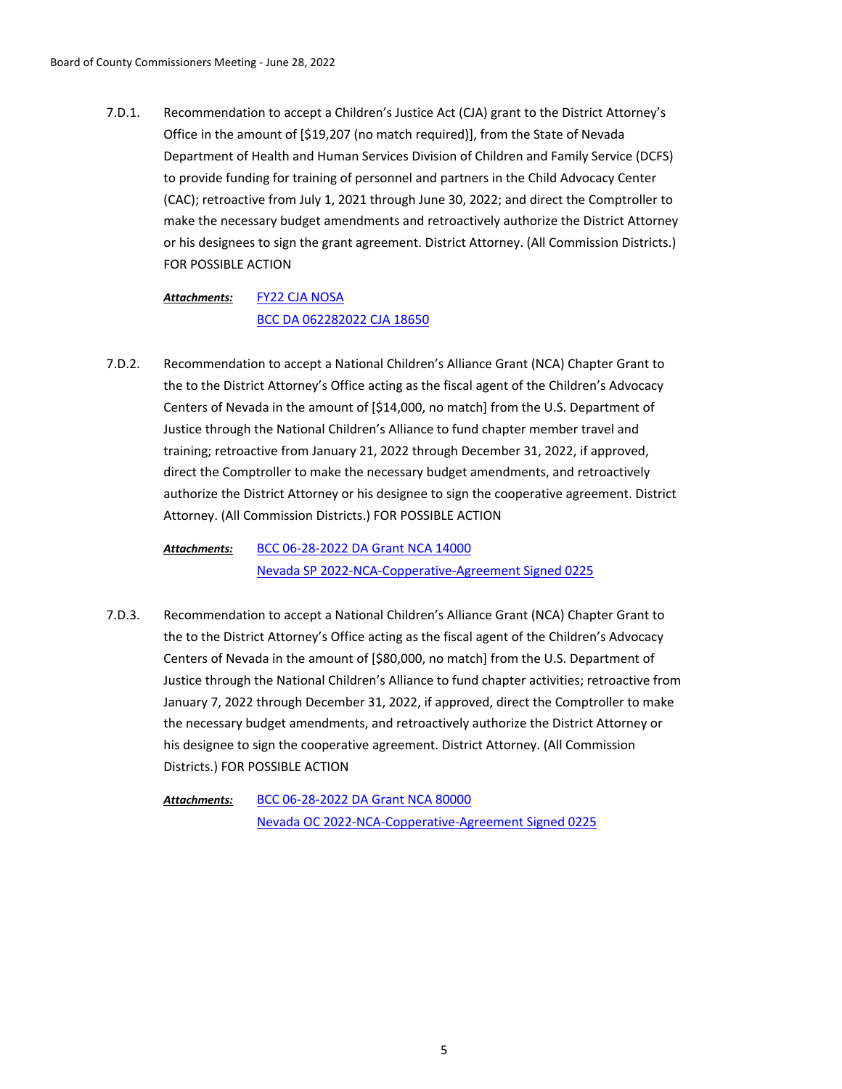Recommendation to accept a Children's Justice Act (CJA) grant to the District Attorney's Office in the amount of [\$19,207 (no match required)], from the State of Nevada Department of Health and Human Services Division of Children and Family Service (DCFS) to provide funding for training of personnel and partners in the Child Advocacy Center (CAC); retroactive from July 1, 2021 through June 30, 2022; and direct the Comptroller to make the necessary budget amendments and retroactively authorize the District Attorney or his designees to sign the grant agreement. District Attorney. (All Commission Districts.) FOR POSSIBLE ACTION 7.D.1.

### [FY22 CJA NOSA](http://washoe-nv.legistar.com/gateway.aspx?M=F&ID=3eb0685b-1697-4c22-8f7b-739fe4b91d49.pdf) [BCC DA 062282022 CJA 18650](http://washoe-nv.legistar.com/gateway.aspx?M=F&ID=5192e7e6-4d30-4685-a7d1-c7e2e5467f03.doc) *Attachments:*

Recommendation to accept a National Children's Alliance Grant (NCA) Chapter Grant to the to the District Attorney's Office acting as the fiscal agent of the Children's Advocacy Centers of Nevada in the amount of [\$14,000, no match] from the U.S. Department of Justice through the National Children's Alliance to fund chapter member travel and training; retroactive from January 21, 2022 through December 31, 2022, if approved, direct the Comptroller to make the necessary budget amendments, and retroactively authorize the District Attorney or his designee to sign the cooperative agreement. District Attorney. (All Commission Districts.) FOR POSSIBLE ACTION 7.D.2.

[BCC 06-28-2022 DA Grant NCA 14000](http://washoe-nv.legistar.com/gateway.aspx?M=F&ID=d8c635e9-098a-4388-8181-bba64279566b.docx) [Nevada SP 2022-NCA-Copperative-Agreement Signed 0225](http://washoe-nv.legistar.com/gateway.aspx?M=F&ID=a443f23a-ecc7-4d23-8dd9-29ad41f075f6.pdf) *Attachments:*

Recommendation to accept a National Children's Alliance Grant (NCA) Chapter Grant to the to the District Attorney's Office acting as the fiscal agent of the Children's Advocacy Centers of Nevada in the amount of [\$80,000, no match] from the U.S. Department of Justice through the National Children's Alliance to fund chapter activities; retroactive from January 7, 2022 through December 31, 2022, if approved, direct the Comptroller to make the necessary budget amendments, and retroactively authorize the District Attorney or his designee to sign the cooperative agreement. District Attorney. (All Commission Districts.) FOR POSSIBLE ACTION 7.D.3.

[BCC 06-28-2022 DA Grant NCA 80000](http://washoe-nv.legistar.com/gateway.aspx?M=F&ID=e1c3de13-d376-4271-84c4-125bf1a78da0.docx) [Nevada OC 2022-NCA-Copperative-Agreement Signed 0225](http://washoe-nv.legistar.com/gateway.aspx?M=F&ID=c973b176-365b-432b-ba20-490f8807295e.pdf) *Attachments:*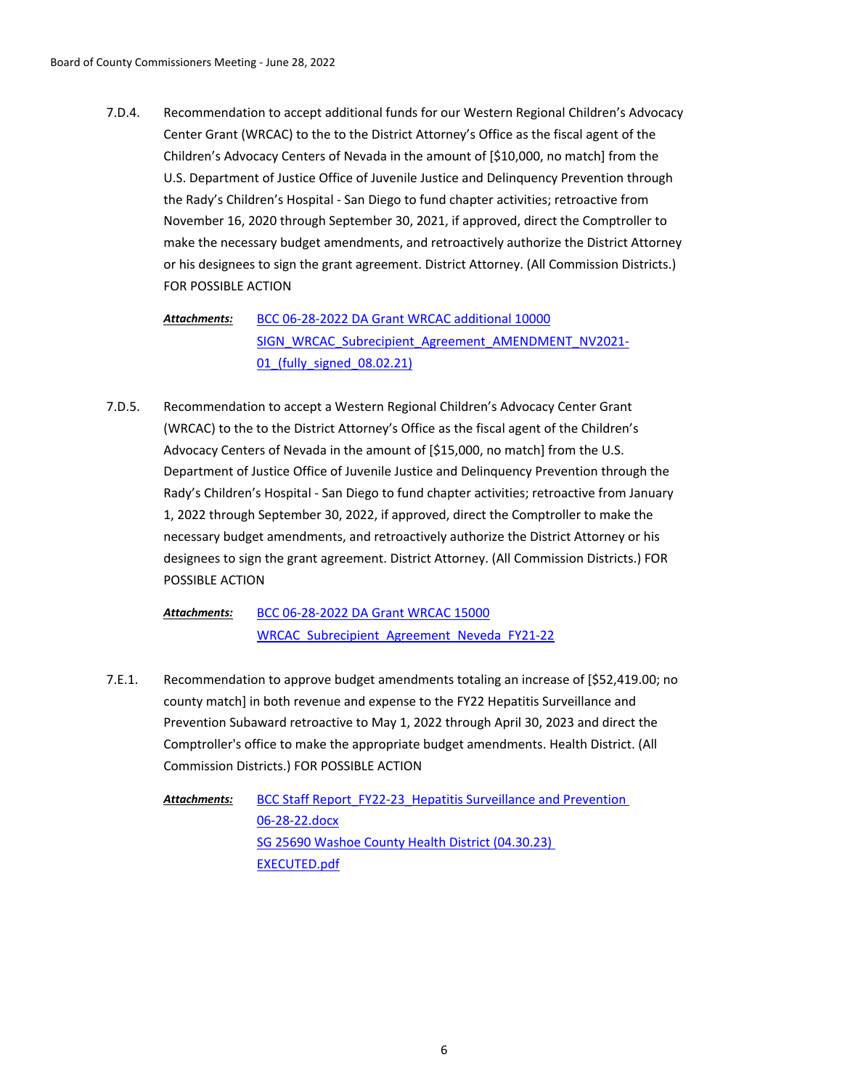Recommendation to accept additional funds for our Western Regional Children's Advocacy Center Grant (WRCAC) to the to the District Attorney's Office as the fiscal agent of the Children's Advocacy Centers of Nevada in the amount of [\$10,000, no match] from the U.S. Department of Justice Office of Juvenile Justice and Delinquency Prevention through the Rady's Children's Hospital - San Diego to fund chapter activities; retroactive from November 16, 2020 through September 30, 2021, if approved, direct the Comptroller to make the necessary budget amendments, and retroactively authorize the District Attorney or his designees to sign the grant agreement. District Attorney. (All Commission Districts.) FOR POSSIBLE ACTION 7.D.4.

[BCC 06-28-2022 DA Grant WRCAC additional 10000](http://washoe-nv.legistar.com/gateway.aspx?M=F&ID=08695f4e-8b50-4d97-859e-03ab9aa17b07.docx) [SIGN\\_WRCAC\\_Subrecipient\\_Agreement\\_AMENDMENT\\_NV2021-](http://washoe-nv.legistar.com/gateway.aspx?M=F&ID=d8f8a1d6-8e5a-497b-b5e0-a80912e5410a.pdf) 01 (fully signed 08.02.21) *Attachments:*

Recommendation to accept a Western Regional Children's Advocacy Center Grant (WRCAC) to the to the District Attorney's Office as the fiscal agent of the Children's Advocacy Centers of Nevada in the amount of [\$15,000, no match] from the U.S. Department of Justice Office of Juvenile Justice and Delinquency Prevention through the Rady's Children's Hospital - San Diego to fund chapter activities; retroactive from January 1, 2022 through September 30, 2022, if approved, direct the Comptroller to make the necessary budget amendments, and retroactively authorize the District Attorney or his designees to sign the grant agreement. District Attorney. (All Commission Districts.) FOR POSSIBLE ACTION 7.D.5.

[BCC 06-28-2022 DA Grant WRCAC 15000](http://washoe-nv.legistar.com/gateway.aspx?M=F&ID=0b5781a0-2b1e-40ce-b59d-66749bdd7898.docx) WRCAC Subrecipient Agreement Neveda FY21-22 *Attachments:*

Recommendation to approve budget amendments totaling an increase of [\$52,419.00; no county match] in both revenue and expense to the FY22 Hepatitis Surveillance and Prevention Subaward retroactive to May 1, 2022 through April 30, 2023 and direct the Comptroller's office to make the appropriate budget amendments. Health District. (All Commission Districts.) FOR POSSIBLE ACTION 7.E.1.

BCC Staff Report FY22-23 Hepatitis Surveillance and Prevention 06-28-22.docx [SG 25690 Washoe County Health District \(04.30.23\)](http://washoe-nv.legistar.com/gateway.aspx?M=F&ID=bc666cbd-7eca-4759-a1d1-455ccc19d825.pdf)  EXECUTED.pdf *Attachments:*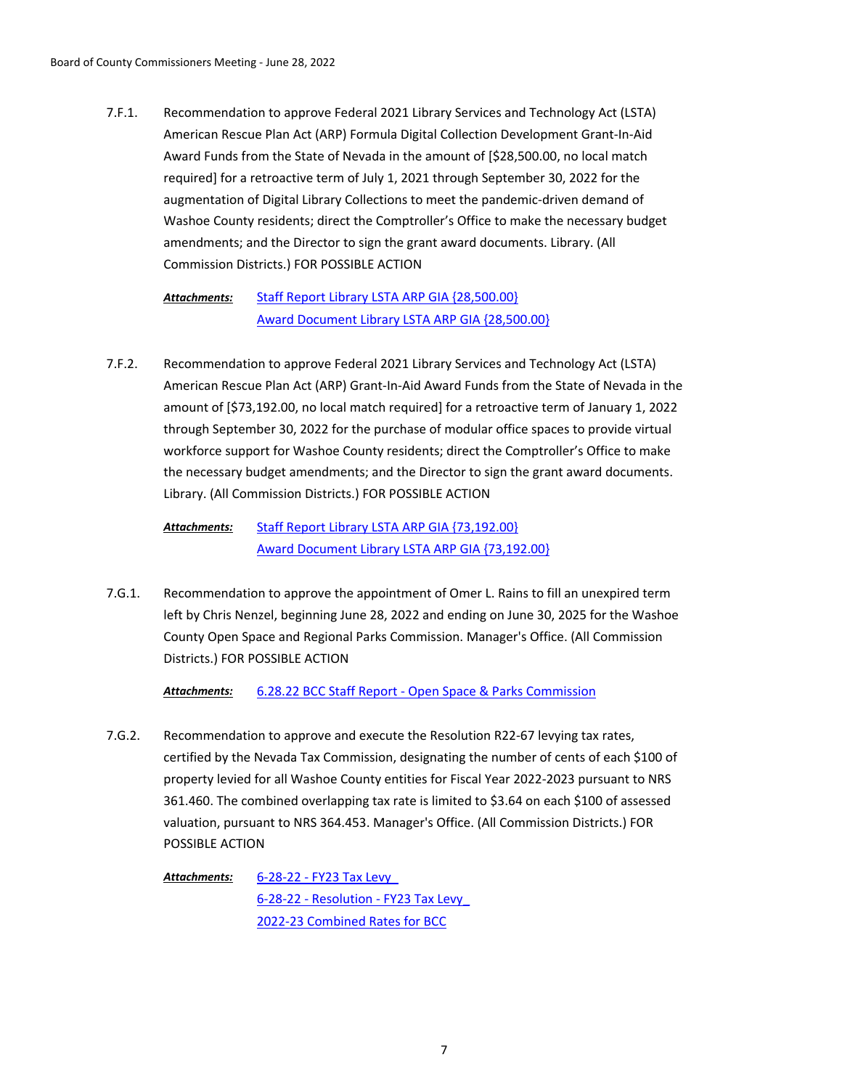Recommendation to approve Federal 2021 Library Services and Technology Act (LSTA) American Rescue Plan Act (ARP) Formula Digital Collection Development Grant-In-Aid Award Funds from the State of Nevada in the amount of [\$28,500.00, no local match required] for a retroactive term of July 1, 2021 through September 30, 2022 for the augmentation of Digital Library Collections to meet the pandemic-driven demand of Washoe County residents; direct the Comptroller's Office to make the necessary budget amendments; and the Director to sign the grant award documents. Library. (All Commission Districts.) FOR POSSIBLE ACTION 7.F.1.

> [Staff Report Library LSTA ARP GIA {28,500.00}](http://washoe-nv.legistar.com/gateway.aspx?M=F&ID=e72c0bc3-81a8-49c3-b23b-3670733e0f41.doc) [Award Document Library LSTA ARP GIA {28,500.00}](http://washoe-nv.legistar.com/gateway.aspx?M=F&ID=7e1eb3b8-762e-4263-b302-c35bf7634203.docx) *Attachments:*

Recommendation to approve Federal 2021 Library Services and Technology Act (LSTA) American Rescue Plan Act (ARP) Grant-In-Aid Award Funds from the State of Nevada in the amount of [\$73,192.00, no local match required] for a retroactive term of January 1, 2022 through September 30, 2022 for the purchase of modular office spaces to provide virtual workforce support for Washoe County residents; direct the Comptroller's Office to make the necessary budget amendments; and the Director to sign the grant award documents. Library. (All Commission Districts.) FOR POSSIBLE ACTION 7.F.2.

[Staff Report Library LSTA ARP GIA {73,192.00}](http://washoe-nv.legistar.com/gateway.aspx?M=F&ID=00a3a335-3431-4956-9540-ba0b63ebb15b.doc) [Award Document Library LSTA ARP GIA {73,192.00}](http://washoe-nv.legistar.com/gateway.aspx?M=F&ID=a8ab7a93-a7a8-468a-bd6c-d8c6b86e9202.docx) *Attachments:*

Recommendation to approve the appointment of Omer L. Rains to fill an unexpired term left by Chris Nenzel, beginning June 28, 2022 and ending on June 30, 2025 for the Washoe County Open Space and Regional Parks Commission. Manager's Office. (All Commission Districts.) FOR POSSIBLE ACTION 7.G.1.

*Attachments:* [6.28.22 BCC Staff Report - Open Space & Parks Commission](http://washoe-nv.legistar.com/gateway.aspx?M=F&ID=294213c3-d681-4da5-834d-13979f5eee7f.doc)

Recommendation to approve and execute the Resolution R22-67 levying tax rates, certified by the Nevada Tax Commission, designating the number of cents of each \$100 of property levied for all Washoe County entities for Fiscal Year 2022-2023 pursuant to NRS 361.460. The combined overlapping tax rate is limited to \$3.64 on each \$100 of assessed valuation, pursuant to NRS 364.453. Manager's Office. (All Commission Districts.) FOR POSSIBLE ACTION 7.G.2.

[6-28-22 - FY23 Tax Levy\\_](http://washoe-nv.legistar.com/gateway.aspx?M=F&ID=9355a962-3b79-4d39-9d4f-763afc5ab80b.docx) [6-28-22 - Resolution - FY23 Tax Levy\\_](http://washoe-nv.legistar.com/gateway.aspx?M=F&ID=94c26fc9-d720-4b42-aecf-e84744ebf15b.doc) [2022-23 Combined Rates for BCC](http://washoe-nv.legistar.com/gateway.aspx?M=F&ID=5ca2d9cf-f788-498b-a187-7fdb94271942.pdf) *Attachments:*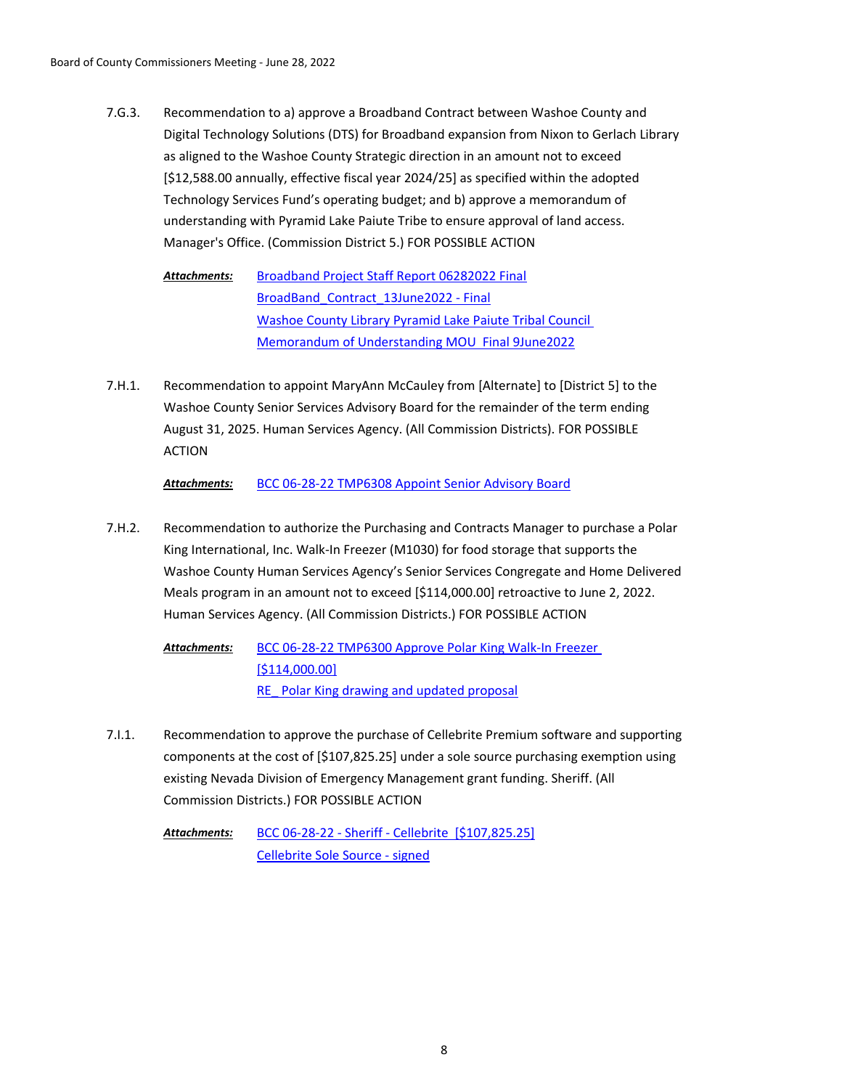Recommendation to a) approve a Broadband Contract between Washoe County and Digital Technology Solutions (DTS) for Broadband expansion from Nixon to Gerlach Library as aligned to the Washoe County Strategic direction in an amount not to exceed [\$12,588.00 annually, effective fiscal year 2024/25] as specified within the adopted Technology Services Fund's operating budget; and b) approve a memorandum of understanding with Pyramid Lake Paiute Tribe to ensure approval of land access. Manager's Office. (Commission District 5.) FOR POSSIBLE ACTION 7.G.3.

[Broadband Project Staff Report 06282022 Final](http://washoe-nv.legistar.com/gateway.aspx?M=F&ID=685a81a7-9d70-47c3-a036-f593aa8fc9aa.docx) [BroadBand\\_Contract\\_13June2022 - Final](http://washoe-nv.legistar.com/gateway.aspx?M=F&ID=27dcd097-2315-49f4-9881-adda78885f1c.docx) [Washoe County Library Pyramid Lake Paiute Tribal Council](http://washoe-nv.legistar.com/gateway.aspx?M=F&ID=763562ea-0c21-4cd0-a107-bca055de75c7.docx)  Memorandum of Understanding MOU Final 9June2022 *Attachments:*

Recommendation to appoint MaryAnn McCauley from [Alternate] to [District 5] to the Washoe County Senior Services Advisory Board for the remainder of the term ending August 31, 2025. Human Services Agency. (All Commission Districts). FOR POSSIBLE ACTION 7.H.1.

*Attachments:* [BCC 06-28-22 TMP6308 Appoint Senior Advisory Board](http://washoe-nv.legistar.com/gateway.aspx?M=F&ID=5eb6674a-9f5a-4c10-b062-ed707aebaf1a.doc)

Recommendation to authorize the Purchasing and Contracts Manager to purchase a Polar King International, Inc. Walk-In Freezer (M1030) for food storage that supports the Washoe County Human Services Agency's Senior Services Congregate and Home Delivered Meals program in an amount not to exceed [\$114,000.00] retroactive to June 2, 2022. Human Services Agency. (All Commission Districts.) FOR POSSIBLE ACTION 7.H.2.

[BCC 06-28-22 TMP6300 Approve Polar King Walk-In Freezer](http://washoe-nv.legistar.com/gateway.aspx?M=F&ID=153c5761-fa54-4b1c-8365-5fbfe504c1dc.doc)  [\$114,000.00] RE Polar King drawing and updated proposal *Attachments:*

Recommendation to approve the purchase of Cellebrite Premium software and supporting components at the cost of [\$107,825.25] under a sole source purchasing exemption using existing Nevada Division of Emergency Management grant funding. Sheriff. (All Commission Districts.) FOR POSSIBLE ACTION 7.I.1.

[BCC 06-28-22 - Sheriff - Cellebrite \[\\$107,825.25\]](http://washoe-nv.legistar.com/gateway.aspx?M=F&ID=3b72d857-73a2-40d7-80ee-fc1466652d9e.docx) [Cellebrite Sole Source - signed](http://washoe-nv.legistar.com/gateway.aspx?M=F&ID=c44e3bc8-74ef-4587-b6f4-3be30c34fc40.pdf) *Attachments:*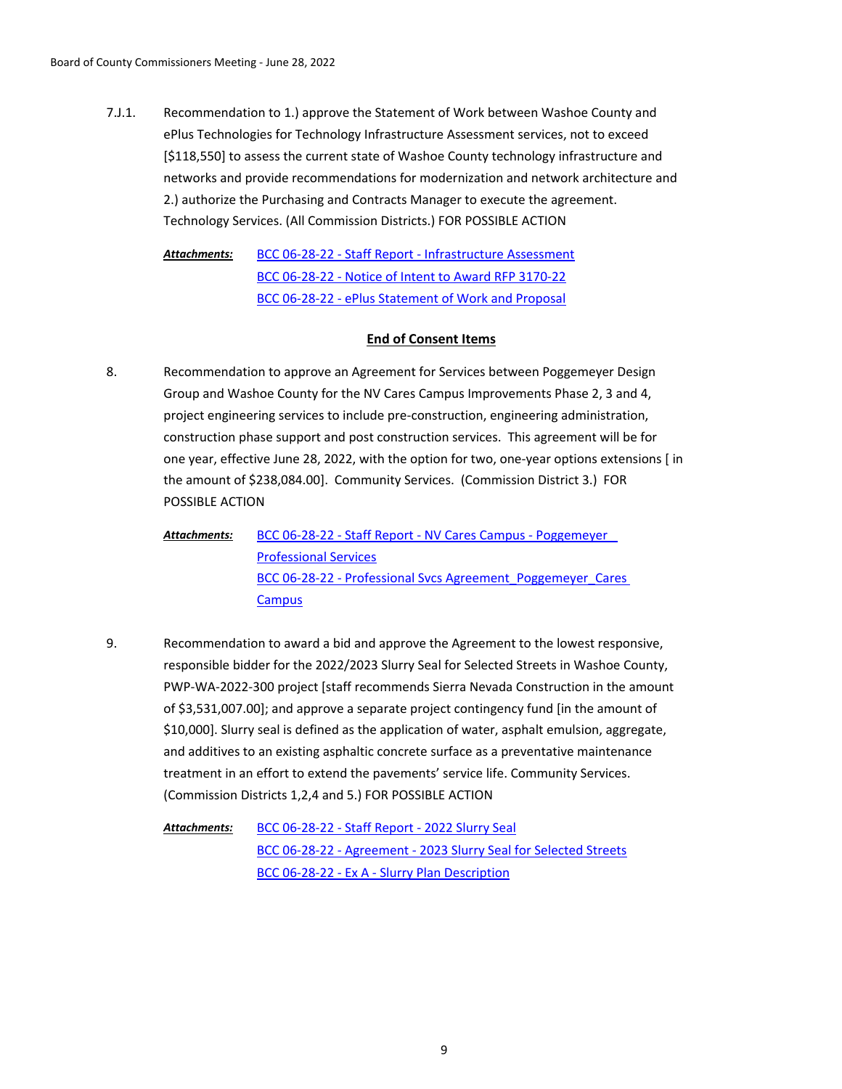Recommendation to 1.) approve the Statement of Work between Washoe County and ePlus Technologies for Technology Infrastructure Assessment services, not to exceed [\$118,550] to assess the current state of Washoe County technology infrastructure and networks and provide recommendations for modernization and network architecture and 2.) authorize the Purchasing and Contracts Manager to execute the agreement. Technology Services. (All Commission Districts.) FOR POSSIBLE ACTION 7.J.1.

[BCC 06-28-22 - Staff Report - Infrastructure Assessment](http://washoe-nv.legistar.com/gateway.aspx?M=F&ID=750bdbb7-5ff7-4143-83d9-4c6cdaec6ff2.docx) [BCC 06-28-22 - Notice of Intent to Award RFP 3170-22](http://washoe-nv.legistar.com/gateway.aspx?M=F&ID=f1daa4f8-55bc-4eb2-b9e2-9c8a7e7c1ee9.PDF) [BCC 06-28-22 - ePlus Statement of Work and Proposal](http://washoe-nv.legistar.com/gateway.aspx?M=F&ID=3d3ea9d0-f095-4df5-8116-9594b3748d7a.pdf) *Attachments:*

# **End of Consent Items**

Recommendation to approve an Agreement for Services between Poggemeyer Design Group and Washoe County for the NV Cares Campus Improvements Phase 2, 3 and 4, project engineering services to include pre-construction, engineering administration, construction phase support and post construction services. This agreement will be for one year, effective June 28, 2022, with the option for two, one-year options extensions [ in the amount of \$238,084.00]. Community Services. (Commission District 3.) FOR POSSIBLE ACTION 8.

[BCC 06-28-22 - Staff Report - NV Cares Campus - Poggemeyer\\_](http://washoe-nv.legistar.com/gateway.aspx?M=F&ID=6f1f0fb0-1b38-4e6c-9424-57924e3a67cd.doc)  Professional Services BCC 06-28-22 - Professional Svcs Agreement\_Poggemeyer\_Cares\_ **Campus** *Attachments:*

Recommendation to award a bid and approve the Agreement to the lowest responsive, responsible bidder for the 2022/2023 Slurry Seal for Selected Streets in Washoe County, PWP-WA-2022-300 project [staff recommends Sierra Nevada Construction in the amount of \$3,531,007.00]; and approve a separate project contingency fund [in the amount of \$10,000]. Slurry seal is defined as the application of water, asphalt emulsion, aggregate, and additives to an existing asphaltic concrete surface as a preventative maintenance treatment in an effort to extend the pavements' service life. Community Services. (Commission Districts 1,2,4 and 5.) FOR POSSIBLE ACTION 9.

[BCC 06-28-22 - Staff Report - 2022 Slurry Seal](http://washoe-nv.legistar.com/gateway.aspx?M=F&ID=2e2c5e3c-679b-4dae-bff2-fb6824365552.docx) [BCC 06-28-22 - Agreement - 2023 Slurry Seal for Selected Streets](http://washoe-nv.legistar.com/gateway.aspx?M=F&ID=b0810606-775d-41b2-ab2d-fb93c592e792.pdf) [BCC 06-28-22 - Ex A - Slurry Plan Description](http://washoe-nv.legistar.com/gateway.aspx?M=F&ID=db338631-5aa7-422b-90bf-7c6d3723d8f1.pdf) *Attachments:*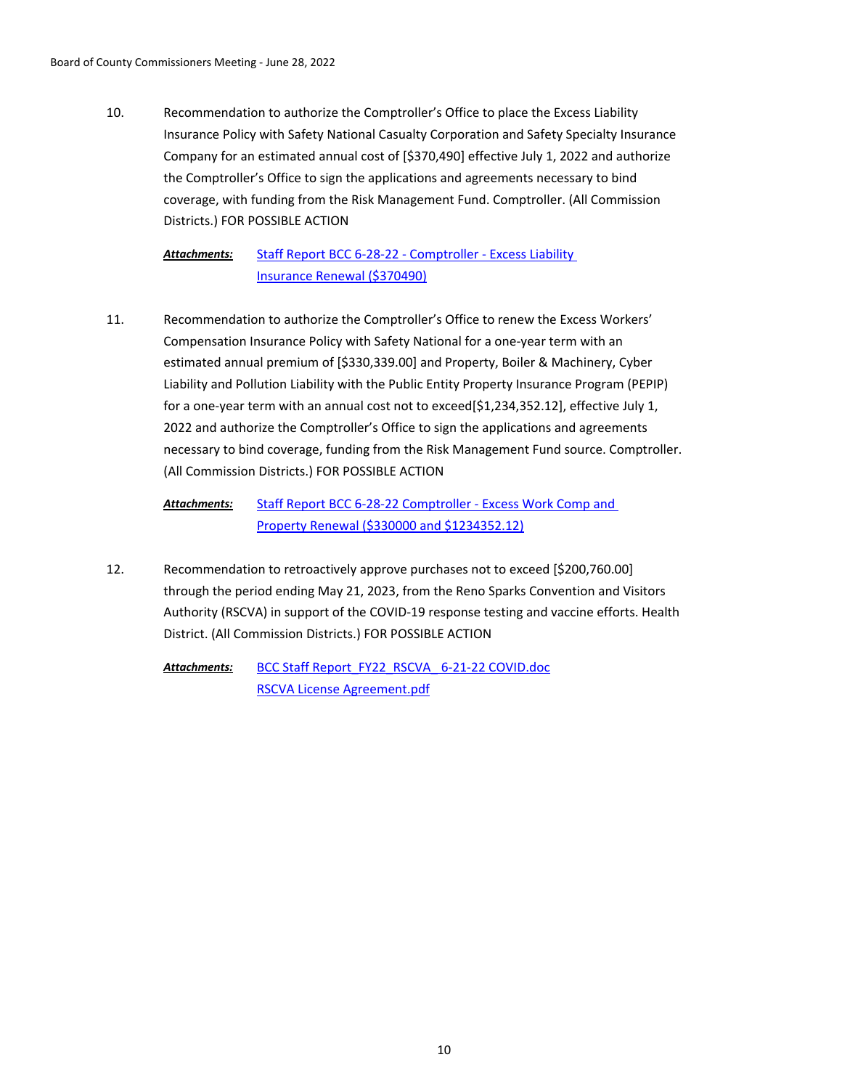Recommendation to authorize the Comptroller's Office to place the Excess Liability Insurance Policy with Safety National Casualty Corporation and Safety Specialty Insurance Company for an estimated annual cost of [\$370,490] effective July 1, 2022 and authorize the Comptroller's Office to sign the applications and agreements necessary to bind coverage, with funding from the Risk Management Fund. Comptroller. (All Commission Districts.) FOR POSSIBLE ACTION 10.

[Staff Report BCC 6-28-22 - Comptroller - Excess Liability](http://washoe-nv.legistar.com/gateway.aspx?M=F&ID=4c5b3ca2-2f34-4910-be1a-6e99fdc29424.doc)  Insurance Renewal (\$370490) *Attachments:*

Recommendation to authorize the Comptroller's Office to renew the Excess Workers' Compensation Insurance Policy with Safety National for a one-year term with an estimated annual premium of [\$330,339.00] and Property, Boiler & Machinery, Cyber Liability and Pollution Liability with the Public Entity Property Insurance Program (PEPIP) for a one-year term with an annual cost not to exceed  $[$1,234,352.12]$ , effective July 1, 2022 and authorize the Comptroller's Office to sign the applications and agreements necessary to bind coverage, funding from the Risk Management Fund source. Comptroller. (All Commission Districts.) FOR POSSIBLE ACTION 11.

```
Staff Report BCC 6-28-22 Comptroller - Excess Work Comp and 
               Property Renewal ($330000 and $1234352.12)
Attachments:
```
Recommendation to retroactively approve purchases not to exceed [\$200,760.00] through the period ending May 21, 2023, from the Reno Sparks Convention and Visitors Authority (RSCVA) in support of the COVID-19 response testing and vaccine efforts. Health District. (All Commission Districts.) FOR POSSIBLE ACTION 12.

BCC Staff Report\_FY22\_RSCVA\_6-21-22 COVID.doc [RSCVA License Agreement.pdf](http://washoe-nv.legistar.com/gateway.aspx?M=F&ID=e0783fe4-399d-42cc-8085-9f1713553cab.pdf) *Attachments:*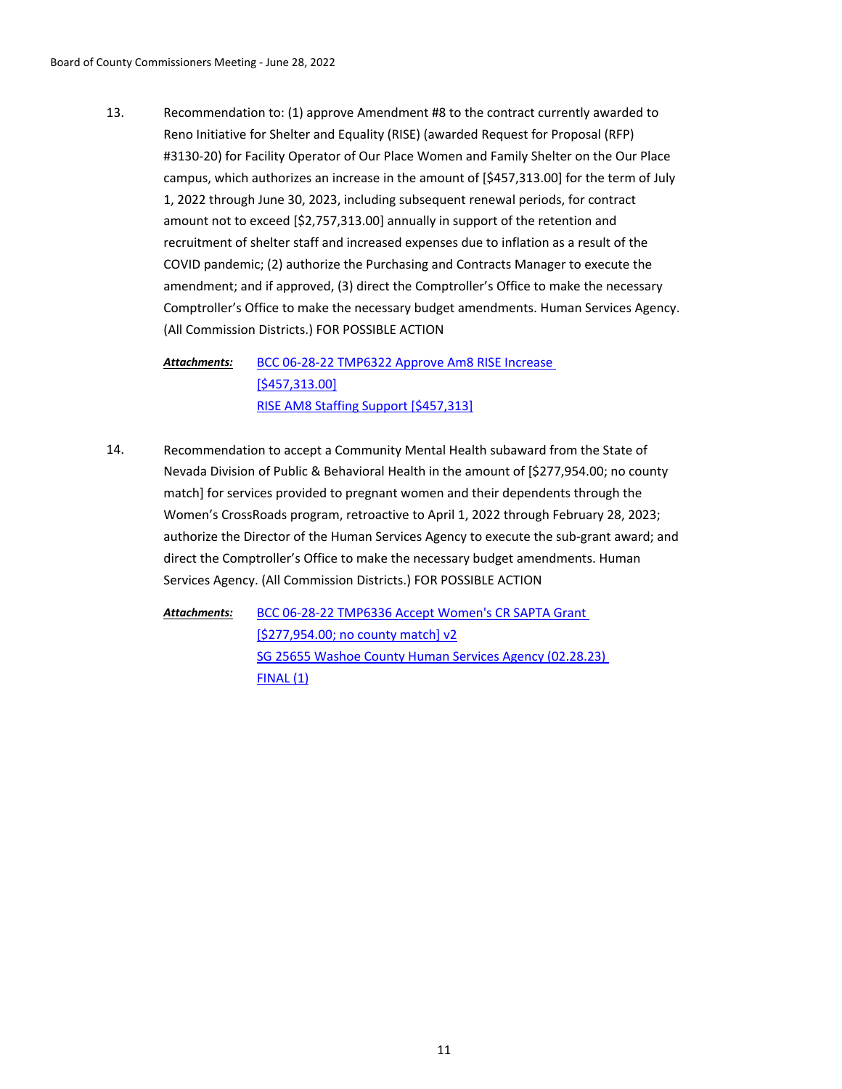Recommendation to: (1) approve Amendment #8 to the contract currently awarded to Reno Initiative for Shelter and Equality (RISE) (awarded Request for Proposal (RFP) #3130-20) for Facility Operator of Our Place Women and Family Shelter on the Our Place campus, which authorizes an increase in the amount of [\$457,313.00] for the term of July 1, 2022 through June 30, 2023, including subsequent renewal periods, for contract amount not to exceed [\$2,757,313.00] annually in support of the retention and recruitment of shelter staff and increased expenses due to inflation as a result of the COVID pandemic; (2) authorize the Purchasing and Contracts Manager to execute the amendment; and if approved, (3) direct the Comptroller's Office to make the necessary Comptroller's Office to make the necessary budget amendments. Human Services Agency. (All Commission Districts.) FOR POSSIBLE ACTION 13.

[BCC 06-28-22 TMP6322 Approve Am8 RISE Increase](http://washoe-nv.legistar.com/gateway.aspx?M=F&ID=1ad4d469-5f9c-4dd5-b7b5-cd1dcde3d69d.doc)  [\$457,313.00] [RISE AM8 Staffing Support \[\\$457,313\]](http://washoe-nv.legistar.com/gateway.aspx?M=F&ID=466d0bcd-0aaf-491a-bfb0-f48e50911f66.docx) *Attachments:*

Recommendation to accept a Community Mental Health subaward from the State of Nevada Division of Public & Behavioral Health in the amount of [\$277,954.00; no county match] for services provided to pregnant women and their dependents through the Women's CrossRoads program, retroactive to April 1, 2022 through February 28, 2023; authorize the Director of the Human Services Agency to execute the sub-grant award; and direct the Comptroller's Office to make the necessary budget amendments. Human Services Agency. (All Commission Districts.) FOR POSSIBLE ACTION 14.

[BCC 06-28-22 TMP6336 Accept Women's CR SAPTA Grant](http://washoe-nv.legistar.com/gateway.aspx?M=F&ID=69623a0a-a907-4a14-947d-2d59a69cdd63.doc)  [\$277,954.00; no county match] v2 [SG 25655 Washoe County Human Services Agency \(02.28.23\)](http://washoe-nv.legistar.com/gateway.aspx?M=F&ID=00021b62-48f3-4eaa-8345-e4c4abe9b5e3.pdf)  FINAL (1) *Attachments:*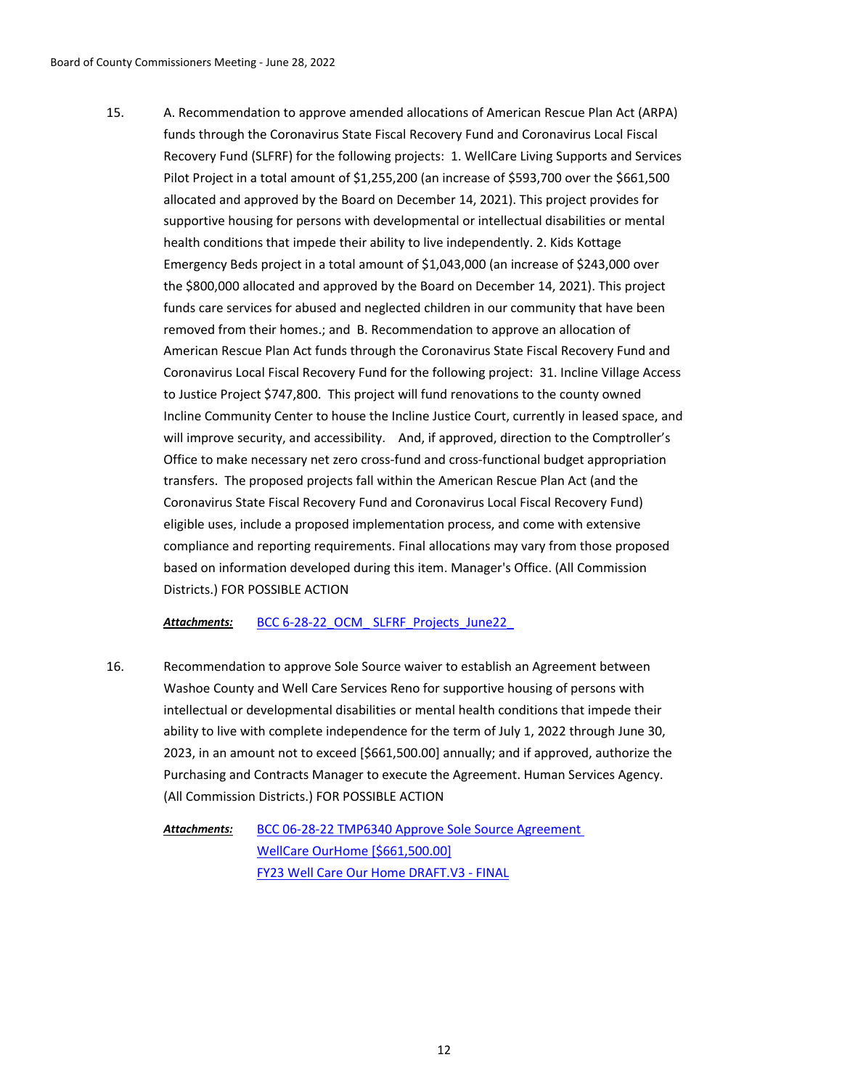A. Recommendation to approve amended allocations of American Rescue Plan Act (ARPA) funds through the Coronavirus State Fiscal Recovery Fund and Coronavirus Local Fiscal Recovery Fund (SLFRF) for the following projects: 1. WellCare Living Supports and Services Pilot Project in a total amount of \$1,255,200 (an increase of \$593,700 over the \$661,500 allocated and approved by the Board on December 14, 2021). This project provides for supportive housing for persons with developmental or intellectual disabilities or mental health conditions that impede their ability to live independently. 2. Kids Kottage Emergency Beds project in a total amount of \$1,043,000 (an increase of \$243,000 over the \$800,000 allocated and approved by the Board on December 14, 2021). This project funds care services for abused and neglected children in our community that have been removed from their homes.; and B. Recommendation to approve an allocation of American Rescue Plan Act funds through the Coronavirus State Fiscal Recovery Fund and Coronavirus Local Fiscal Recovery Fund for the following project: 31. Incline Village Access to Justice Project \$747,800. This project will fund renovations to the county owned Incline Community Center to house the Incline Justice Court, currently in leased space, and will improve security, and accessibility. And, if approved, direction to the Comptroller's Office to make necessary net zero cross-fund and cross-functional budget appropriation transfers. The proposed projects fall within the American Rescue Plan Act (and the Coronavirus State Fiscal Recovery Fund and Coronavirus Local Fiscal Recovery Fund) eligible uses, include a proposed implementation process, and come with extensive compliance and reporting requirements. Final allocations may vary from those proposed based on information developed during this item. Manager's Office. (All Commission Districts.) FOR POSSIBLE ACTION 15.

Attachments: BCC 6-28-22\_OCM\_SLFRF\_Projects\_June22

Recommendation to approve Sole Source waiver to establish an Agreement between Washoe County and Well Care Services Reno for supportive housing of persons with intellectual or developmental disabilities or mental health conditions that impede their ability to live with complete independence for the term of July 1, 2022 through June 30, 2023, in an amount not to exceed [\$661,500.00] annually; and if approved, authorize the Purchasing and Contracts Manager to execute the Agreement. Human Services Agency. (All Commission Districts.) FOR POSSIBLE ACTION 16.

> [BCC 06-28-22 TMP6340 Approve Sole Source Agreement](http://washoe-nv.legistar.com/gateway.aspx?M=F&ID=eda30a49-3394-48fb-96ad-5c66a9e18b5d.doc)  WellCare OurHome [\$661,500.00] [FY23 Well Care Our Home DRAFT.V3 - FINAL](http://washoe-nv.legistar.com/gateway.aspx?M=F&ID=d756d4de-5280-41e1-a01f-1922ff1eb3d9.docx) *Attachments:*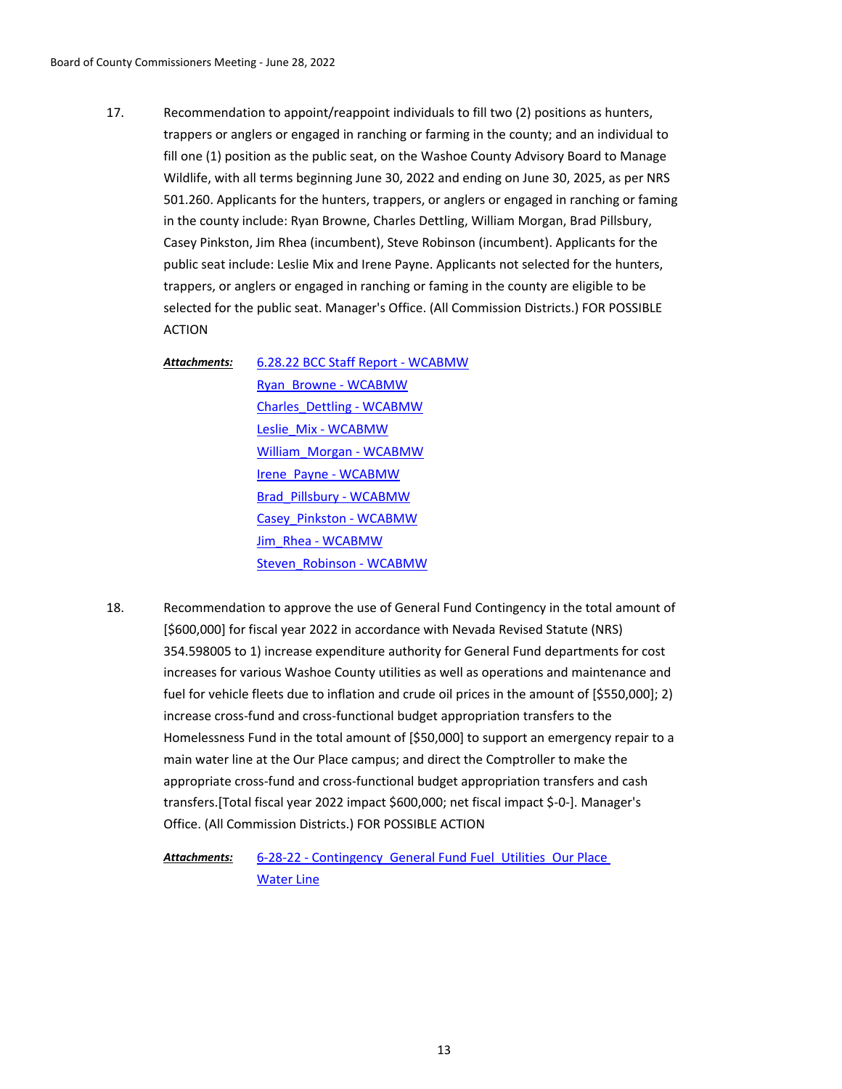Recommendation to appoint/reappoint individuals to fill two (2) positions as hunters, trappers or anglers or engaged in ranching or farming in the county; and an individual to fill one (1) position as the public seat, on the Washoe County Advisory Board to Manage Wildlife, with all terms beginning June 30, 2022 and ending on June 30, 2025, as per NRS 501.260. Applicants for the hunters, trappers, or anglers or engaged in ranching or faming in the county include: Ryan Browne, Charles Dettling, William Morgan, Brad Pillsbury, Casey Pinkston, Jim Rhea (incumbent), Steve Robinson (incumbent). Applicants for the public seat include: Leslie Mix and Irene Payne. Applicants not selected for the hunters, trappers, or anglers or engaged in ranching or faming in the county are eligible to be selected for the public seat. Manager's Office. (All Commission Districts.) FOR POSSIBLE ACTION 17.

[6.28.22 BCC Staff Report - WCABMW](http://washoe-nv.legistar.com/gateway.aspx?M=F&ID=07a6b560-cdb7-4d9b-8784-9c5f37b47f95.pdf) [Ryan\\_Browne - WCABMW](http://washoe-nv.legistar.com/gateway.aspx?M=F&ID=4121cdd4-dddd-44de-840d-58486e77f5f2.pdf) [Charles\\_Dettling - WCABMW](http://washoe-nv.legistar.com/gateway.aspx?M=F&ID=258d0ffa-eec0-4e78-b889-2b3a3c9cd62e.pdf) [Leslie\\_Mix - WCABMW](http://washoe-nv.legistar.com/gateway.aspx?M=F&ID=b36486a5-23e4-45ab-8c03-d6e271fcc577.pdf) [William\\_Morgan - WCABMW](http://washoe-nv.legistar.com/gateway.aspx?M=F&ID=45a55e40-2c77-473c-b977-f53474ae0ac4.pdf) [Irene\\_Payne - WCABMW](http://washoe-nv.legistar.com/gateway.aspx?M=F&ID=cee9c11a-2eee-4ba5-8fdb-ec93cc73c420.pdf) [Brad\\_Pillsbury - WCABMW](http://washoe-nv.legistar.com/gateway.aspx?M=F&ID=1048da92-7db7-49b8-9f50-db60adc7a4ae.pdf) [Casey\\_Pinkston - WCABMW](http://washoe-nv.legistar.com/gateway.aspx?M=F&ID=b93d7ea2-12c3-4e59-acc6-7c7e72e36d4c.pdf) [Jim\\_Rhea - WCABMW](http://washoe-nv.legistar.com/gateway.aspx?M=F&ID=ccd14fc6-88e0-4a5e-8f78-5a39e6012746.pdf) [Steven\\_Robinson - WCABMW](http://washoe-nv.legistar.com/gateway.aspx?M=F&ID=86f732b5-56e3-476d-9ecb-194d186d180f.pdf) *Attachments:*

Recommendation to approve the use of General Fund Contingency in the total amount of [\$600,000] for fiscal year 2022 in accordance with Nevada Revised Statute (NRS) 354.598005 to 1) increase expenditure authority for General Fund departments for cost increases for various Washoe County utilities as well as operations and maintenance and fuel for vehicle fleets due to inflation and crude oil prices in the amount of [\$550,000]; 2) increase cross-fund and cross-functional budget appropriation transfers to the Homelessness Fund in the total amount of [\$50,000] to support an emergency repair to a main water line at the Our Place campus; and direct the Comptroller to make the appropriate cross-fund and cross-functional budget appropriation transfers and cash transfers.[Total fiscal year 2022 impact \$600,000; net fiscal impact \$-0-]. Manager's Office. (All Commission Districts.) FOR POSSIBLE ACTION 18.

> [6-28-22 - Contingency\\_General Fund Fuel\\_Utilities\\_Our Place](http://washoe-nv.legistar.com/gateway.aspx?M=F&ID=04240890-6485-4aea-92ff-412f7bad3ec8.doc)  Water Line *Attachments:*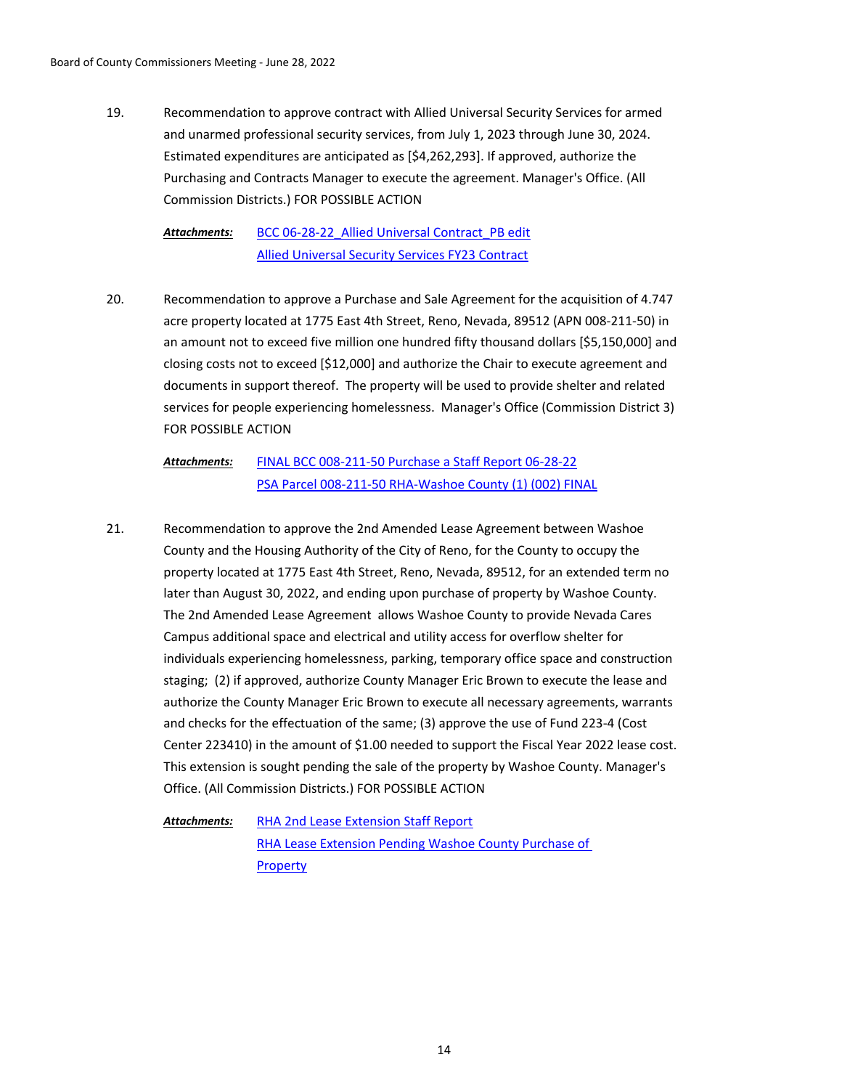Recommendation to approve contract with Allied Universal Security Services for armed and unarmed professional security services, from July 1, 2023 through June 30, 2024. Estimated expenditures are anticipated as [\$4,262,293]. If approved, authorize the Purchasing and Contracts Manager to execute the agreement. Manager's Office. (All Commission Districts.) FOR POSSIBLE ACTION 19.

> [BCC 06-28-22\\_Allied Universal Contract\\_PB edit](http://washoe-nv.legistar.com/gateway.aspx?M=F&ID=9487f68f-9762-4afe-8bca-502c9064f3a7.docx) [Allied Universal Security Services FY23 Contract](http://washoe-nv.legistar.com/gateway.aspx?M=F&ID=077b9f20-f7a9-4031-bb59-00e16e3178f7.pdf) *Attachments:*

Recommendation to approve a Purchase and Sale Agreement for the acquisition of 4.747 acre property located at 1775 East 4th Street, Reno, Nevada, 89512 (APN 008-211-50) in an amount not to exceed five million one hundred fifty thousand dollars [\$5,150,000] and closing costs not to exceed [\$12,000] and authorize the Chair to execute agreement and documents in support thereof. The property will be used to provide shelter and related services for people experiencing homelessness. Manager's Office (Commission District 3) FOR POSSIBLE ACTION 20.

### [FINAL BCC 008-211-50 Purchase a Staff Report 06-28-22](http://washoe-nv.legistar.com/gateway.aspx?M=F&ID=cbe732b0-116b-4c7b-9b37-f24cbc3a1540.doc) [PSA Parcel 008-211-50 RHA-Washoe County \(1\) \(002\) FINAL](http://washoe-nv.legistar.com/gateway.aspx?M=F&ID=26ef5f57-2700-4bc3-aa2e-98ccdafa1c34.docx) *Attachments:*

Recommendation to approve the 2nd Amended Lease Agreement between Washoe County and the Housing Authority of the City of Reno, for the County to occupy the property located at 1775 East 4th Street, Reno, Nevada, 89512, for an extended term no later than August 30, 2022, and ending upon purchase of property by Washoe County. The 2nd Amended Lease Agreement allows Washoe County to provide Nevada Cares Campus additional space and electrical and utility access for overflow shelter for individuals experiencing homelessness, parking, temporary office space and construction staging; (2) if approved, authorize County Manager Eric Brown to execute the lease and authorize the County Manager Eric Brown to execute all necessary agreements, warrants and checks for the effectuation of the same; (3) approve the use of Fund 223-4 (Cost Center 223410) in the amount of \$1.00 needed to support the Fiscal Year 2022 lease cost. This extension is sought pending the sale of the property by Washoe County. Manager's Office. (All Commission Districts.) FOR POSSIBLE ACTION 21.

[RHA 2nd Lease Extension Staff Report](http://washoe-nv.legistar.com/gateway.aspx?M=F&ID=673cc3bb-bb6b-4f12-98e1-4baf7bd689cf.docx) [RHA Lease Extension Pending Washoe County Purchase of](http://washoe-nv.legistar.com/gateway.aspx?M=F&ID=bd153566-2628-4b9d-8326-2ad0b687c84c.docx)  **Property** *Attachments:*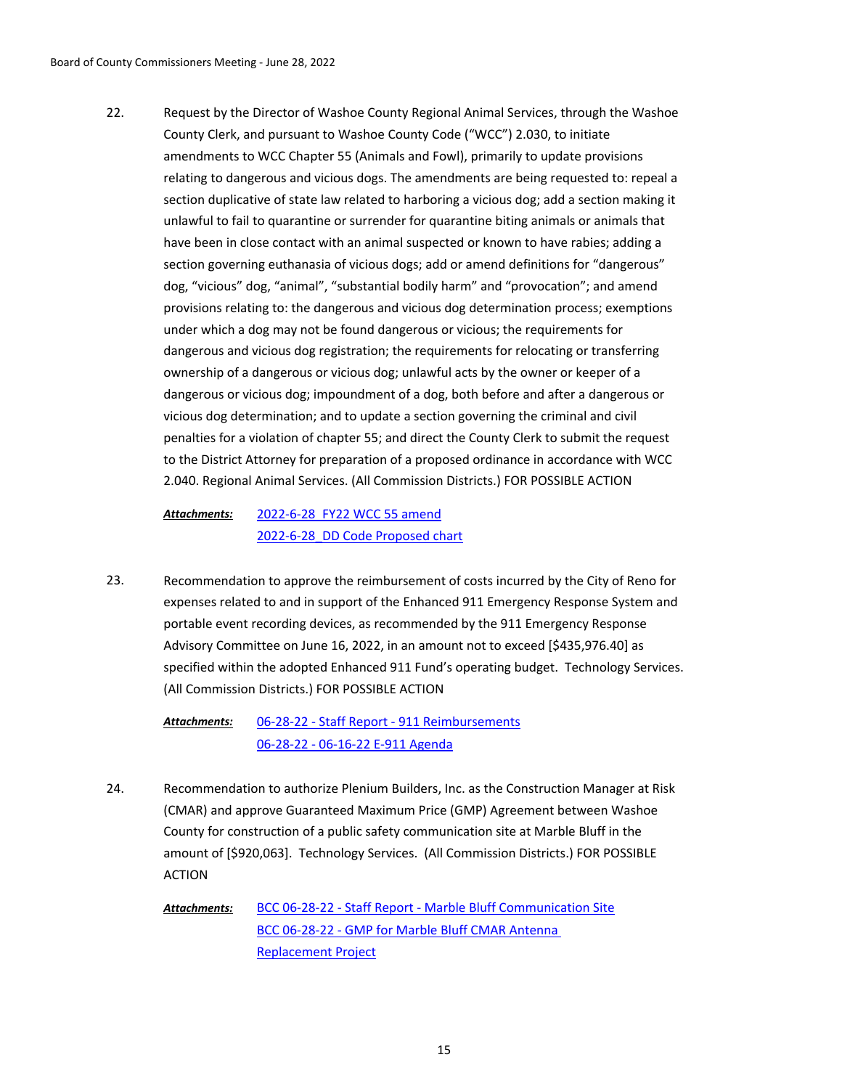Request by the Director of Washoe County Regional Animal Services, through the Washoe County Clerk, and pursuant to Washoe County Code ("WCC") 2.030, to initiate amendments to WCC Chapter 55 (Animals and Fowl), primarily to update provisions relating to dangerous and vicious dogs. The amendments are being requested to: repeal a section duplicative of state law related to harboring a vicious dog; add a section making it unlawful to fail to quarantine or surrender for quarantine biting animals or animals that have been in close contact with an animal suspected or known to have rabies; adding a section governing euthanasia of vicious dogs; add or amend definitions for "dangerous" dog, "vicious" dog, "animal", "substantial bodily harm" and "provocation"; and amend provisions relating to: the dangerous and vicious dog determination process; exemptions under which a dog may not be found dangerous or vicious; the requirements for dangerous and vicious dog registration; the requirements for relocating or transferring ownership of a dangerous or vicious dog; unlawful acts by the owner or keeper of a dangerous or vicious dog; impoundment of a dog, both before and after a dangerous or vicious dog determination; and to update a section governing the criminal and civil penalties for a violation of chapter 55; and direct the County Clerk to submit the request to the District Attorney for preparation of a proposed ordinance in accordance with WCC 2.040. Regional Animal Services. (All Commission Districts.) FOR POSSIBLE ACTION 22.

[2022-6-28\\_FY22 WCC 55 amend](http://washoe-nv.legistar.com/gateway.aspx?M=F&ID=3477c969-7ed1-4e76-ab17-8df64d29baa9.docx) [2022-6-28\\_DD Code Proposed chart](http://washoe-nv.legistar.com/gateway.aspx?M=F&ID=b77f7d62-ceed-442e-9bdf-33f3e18efd93.pdf) *Attachments:*

Recommendation to approve the reimbursement of costs incurred by the City of Reno for expenses related to and in support of the Enhanced 911 Emergency Response System and portable event recording devices, as recommended by the 911 Emergency Response Advisory Committee on June 16, 2022, in an amount not to exceed [\$435,976.40] as specified within the adopted Enhanced 911 Fund's operating budget. Technology Services. (All Commission Districts.) FOR POSSIBLE ACTION 23.

[06-28-22 - Staff Report - 911 Reimbursements](http://washoe-nv.legistar.com/gateway.aspx?M=F&ID=0e0fd0a2-35e7-47be-b766-deb74648d7f2.docx) [06-28-22 - 06-16-22 E-911 Agenda](http://washoe-nv.legistar.com/gateway.aspx?M=F&ID=073f8841-e877-4694-8c5d-1de8e744775a.pdf) *Attachments:*

- Recommendation to authorize Plenium Builders, Inc. as the Construction Manager at Risk (CMAR) and approve Guaranteed Maximum Price (GMP) Agreement between Washoe County for construction of a public safety communication site at Marble Bluff in the amount of [\$920,063]. Technology Services. (All Commission Districts.) FOR POSSIBLE ACTION 24.
	- [BCC 06-28-22 Staff Report Marble Bluff Communication Site](http://washoe-nv.legistar.com/gateway.aspx?M=F&ID=6279bf5b-ff26-4922-8018-2205218f17b1.docx) [BCC 06-28-22 - GMP for Marble Bluff CMAR Antenna](http://washoe-nv.legistar.com/gateway.aspx?M=F&ID=df5531c8-31ee-410f-bbc8-836643e79f8b.pdf)  Replacement Project *Attachments:*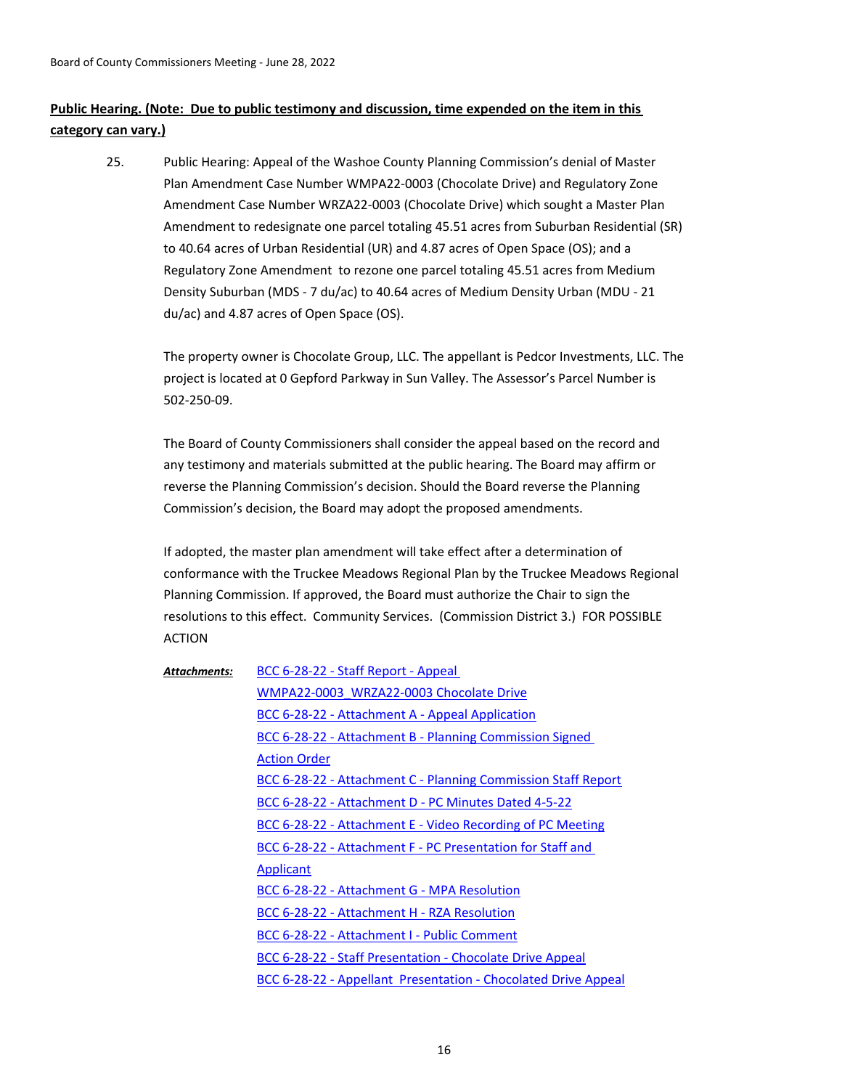# **Public Hearing. (Note: Due to public testimony and discussion, time expended on the item in this category can vary.)**

Public Hearing: Appeal of the Washoe County Planning Commission's denial of Master Plan Amendment Case Number WMPA22-0003 (Chocolate Drive) and Regulatory Zone Amendment Case Number WRZA22-0003 (Chocolate Drive) which sought a Master Plan Amendment to redesignate one parcel totaling 45.51 acres from Suburban Residential (SR) to 40.64 acres of Urban Residential (UR) and 4.87 acres of Open Space (OS); and a Regulatory Zone Amendment to rezone one parcel totaling 45.51 acres from Medium Density Suburban (MDS - 7 du/ac) to 40.64 acres of Medium Density Urban (MDU - 21 du/ac) and 4.87 acres of Open Space (OS). 25.

The property owner is Chocolate Group, LLC. The appellant is Pedcor Investments, LLC. The project is located at 0 Gepford Parkway in Sun Valley. The Assessor's Parcel Number is 502-250-09.

The Board of County Commissioners shall consider the appeal based on the record and any testimony and materials submitted at the public hearing. The Board may affirm or reverse the Planning Commission's decision. Should the Board reverse the Planning Commission's decision, the Board may adopt the proposed amendments.

If adopted, the master plan amendment will take effect after a determination of conformance with the Truckee Meadows Regional Plan by the Truckee Meadows Regional Planning Commission. If approved, the Board must authorize the Chair to sign the resolutions to this effect. Community Services. (Commission District 3.) FOR POSSIBLE ACTION

| <b>Attachments:</b> | BCC 6-28-22 - Staff Report - Appeal                               |
|---------------------|-------------------------------------------------------------------|
|                     | WMPA22-0003 WRZA22-0003 Chocolate Drive                           |
|                     | BCC 6-28-22 - Attachment A - Appeal Application                   |
|                     | BCC 6-28-22 - Attachment B - Planning Commission Signed           |
|                     | <b>Action Order</b>                                               |
|                     | BCC 6-28-22 - Attachment C - Planning Commission Staff Report     |
|                     | BCC 6-28-22 - Attachment D - PC Minutes Dated 4-5-22              |
|                     | <b>BCC 6-28-22 - Attachment E - Video Recording of PC Meeting</b> |
|                     | BCC 6-28-22 - Attachment F - PC Presentation for Staff and        |
|                     | <b>Applicant</b>                                                  |
|                     | BCC 6-28-22 - Attachment G - MPA Resolution                       |
|                     | BCC 6-28-22 - Attachment H - RZA Resolution                       |
|                     | BCC 6-28-22 - Attachment I - Public Comment                       |
|                     | BCC 6-28-22 - Staff Presentation - Chocolate Drive Appeal         |
|                     | BCC 6-28-22 - Appellant Presentation - Chocolated Drive Appeal    |
|                     |                                                                   |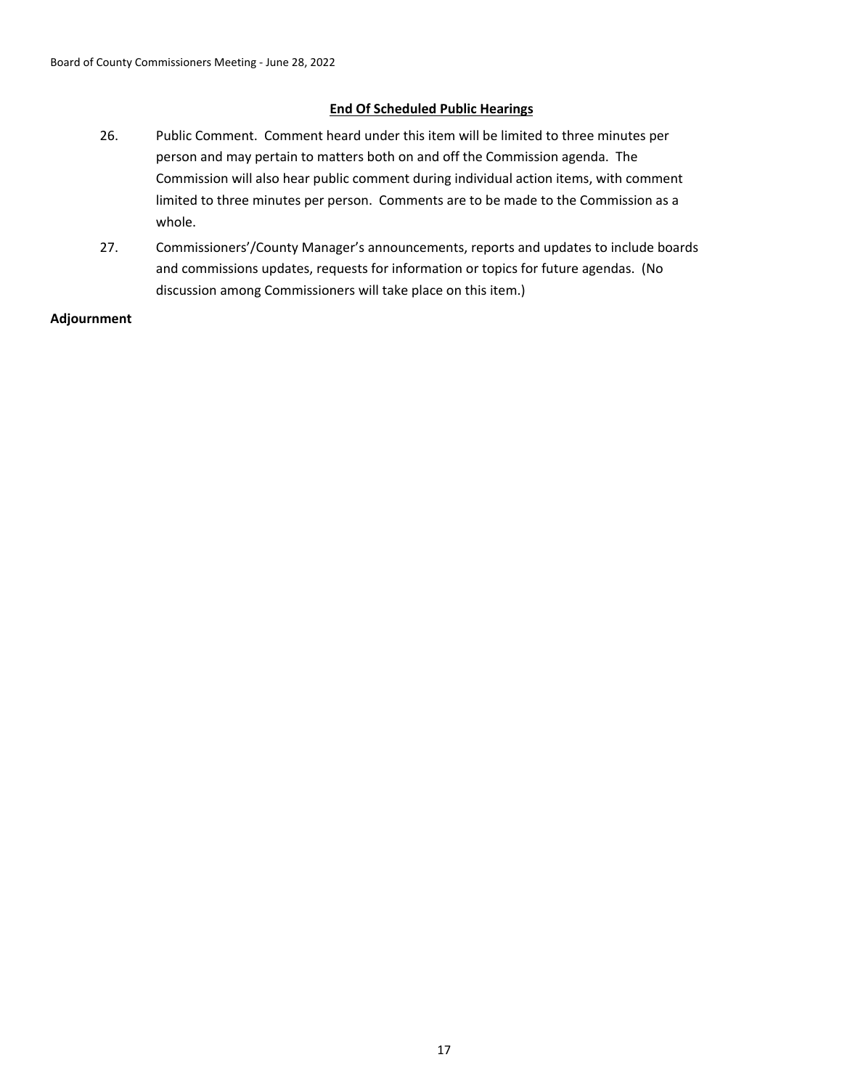# **End Of Scheduled Public Hearings**

- 26. Public Comment. Comment heard under this item will be limited to three minutes per person and may pertain to matters both on and off the Commission agenda. The Commission will also hear public comment during individual action items, with comment limited to three minutes per person. Comments are to be made to the Commission as a whole.
- 27. Commissioners'/County Manager's announcements, reports and updates to include boards and commissions updates, requests for information or topics for future agendas. (No discussion among Commissioners will take place on this item.)

**Adjournment**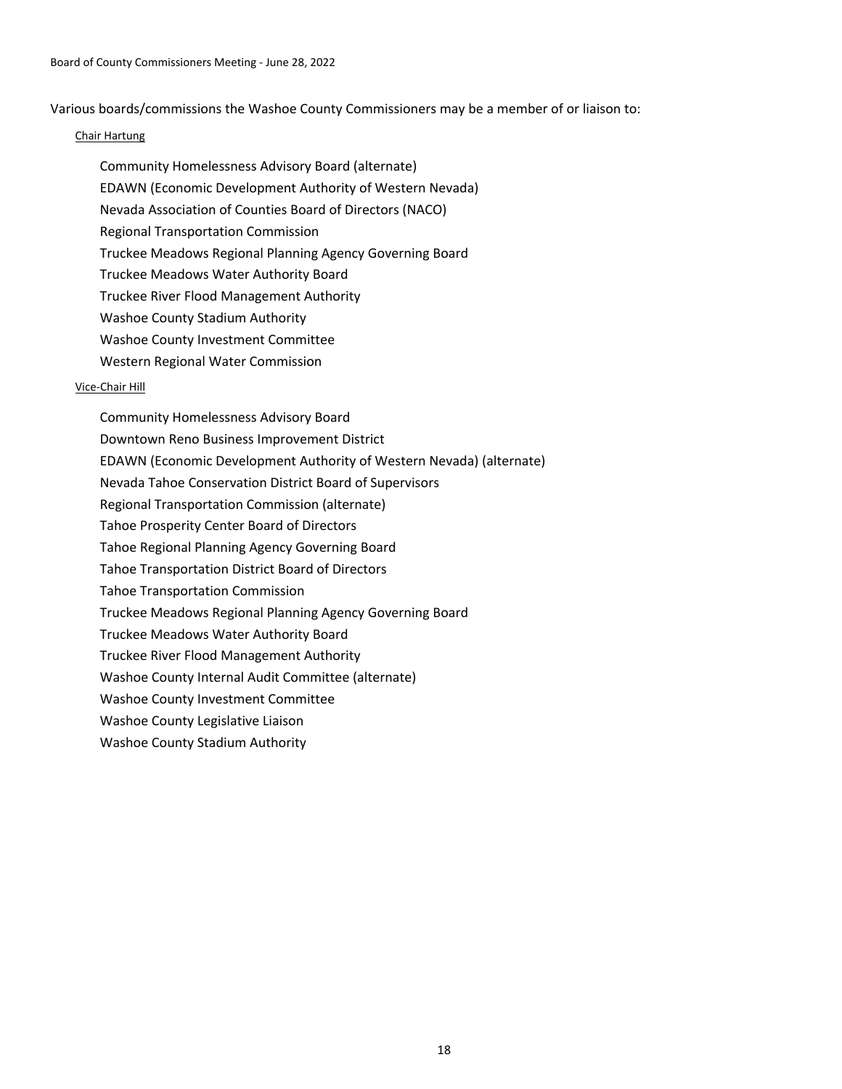Various boards/commissions the Washoe County Commissioners may be a member of or liaison to:

## Chair Hartung

- Community Homelessness Advisory Board (alternate)
- EDAWN (Economic Development Authority of Western Nevada)
- Nevada Association of Counties Board of Directors (NACO)
- Regional Transportation Commission
- Truckee Meadows Regional Planning Agency Governing Board
- Truckee Meadows Water Authority Board
- Truckee River Flood Management Authority
- Washoe County Stadium Authority
- Washoe County Investment Committee
- Western Regional Water Commission

# Vice-Chair Hill

Community Homelessness Advisory Board Downtown Reno Business Improvement District EDAWN (Economic Development Authority of Western Nevada) (alternate) Nevada Tahoe Conservation District Board of Supervisors Regional Transportation Commission (alternate) Tahoe Prosperity Center Board of Directors Tahoe Regional Planning Agency Governing Board Tahoe Transportation District Board of Directors Tahoe Transportation Commission Truckee Meadows Regional Planning Agency Governing Board Truckee Meadows Water Authority Board Truckee River Flood Management Authority Washoe County Internal Audit Committee (alternate) Washoe County Investment Committee Washoe County Legislative Liaison Washoe County Stadium Authority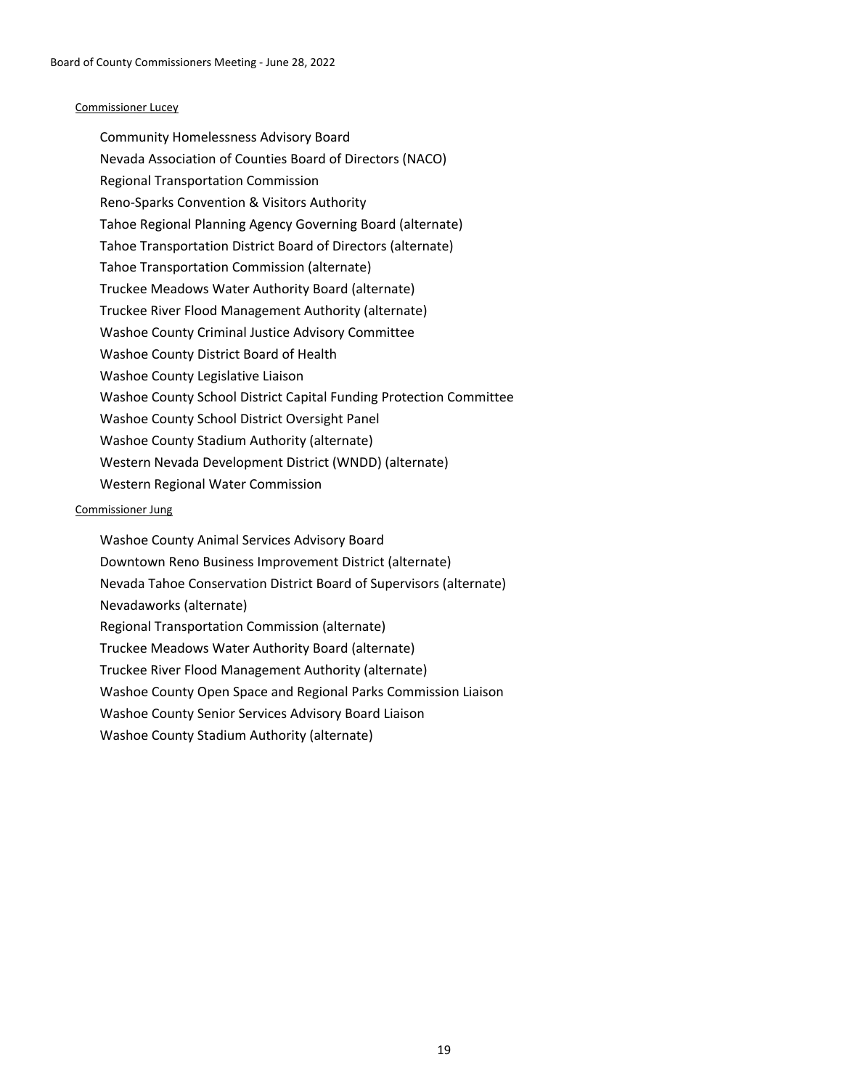### Commissioner Lucey

Community Homelessness Advisory Board Nevada Association of Counties Board of Directors (NACO) Regional Transportation Commission Reno-Sparks Convention & Visitors Authority Tahoe Regional Planning Agency Governing Board (alternate) Tahoe Transportation District Board of Directors (alternate) Tahoe Transportation Commission (alternate) Truckee Meadows Water Authority Board (alternate) Truckee River Flood Management Authority (alternate) Washoe County Criminal Justice Advisory Committee Washoe County District Board of Health Washoe County Legislative Liaison Washoe County School District Capital Funding Protection Committee Washoe County School District Oversight Panel Washoe County Stadium Authority (alternate) Western Nevada Development District (WNDD) (alternate) Western Regional Water Commission

### Commissioner Jung

Washoe County Animal Services Advisory Board Downtown Reno Business Improvement District (alternate) Nevada Tahoe Conservation District Board of Supervisors (alternate) Nevadaworks (alternate) Regional Transportation Commission (alternate) Truckee Meadows Water Authority Board (alternate) Truckee River Flood Management Authority (alternate) Washoe County Open Space and Regional Parks Commission Liaison Washoe County Senior Services Advisory Board Liaison Washoe County Stadium Authority (alternate)